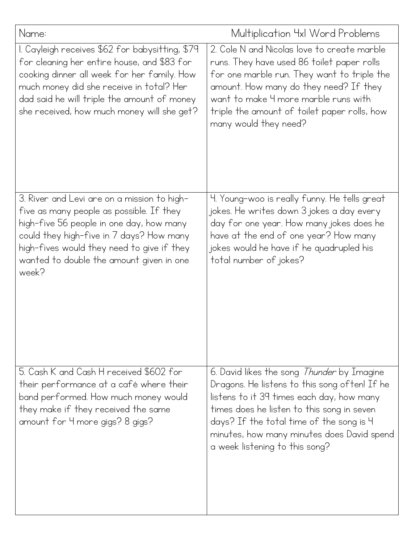| Name:                                                                                                                                                                                                                                                                                  | Multiplication 4xl Word Problems                                                                                                                                                                                                                                                                                          |
|----------------------------------------------------------------------------------------------------------------------------------------------------------------------------------------------------------------------------------------------------------------------------------------|---------------------------------------------------------------------------------------------------------------------------------------------------------------------------------------------------------------------------------------------------------------------------------------------------------------------------|
| I. Cayleigh receives \$62 for babysitting, \$79<br>for cleaning her entire house, and \$83 for<br>cooking dinner all week for her family. How<br>much money did she receive in total? Her<br>dad said he will triple the amount of money<br>she received, how much money will she get? | 2. Cole N and Nicolas love to create marble<br>runs. They have used 86 toilet paper rolls<br>for one marble run. They want to triple the<br>amount. How many do they need? If they<br>want to make 4 more marble runs with<br>triple the amount of toilet paper rolls, how<br>many would they need?                       |
| 3. River and Levi are on a mission to high-<br>five as many people as possible. If they<br>high-five 56 people in one day, how many<br>could they high-five in 7 days? How many<br>high-fives would they need to give if they<br>wanted to double the amount given in one<br>week?     | 4. Young-woo is really funny. He tells great<br>jokes. He writes down 3 jokes a day every<br>day for one year. How many jokes does he<br>have at the end of one year? How many<br>jokes would he have if he quadrupled his<br>total number of jokes?                                                                      |
| 5. Cash K and Cash H received \$602 for<br>their performance at a café where their<br>band performed. How much money would<br>they make if they received the same<br>amount for 4 more gigs? 8 gigs?                                                                                   | 6. David likes the song <i>Thunder</i> by Imagine<br>Dragons. He listens to this song often! If he<br>listens to it 39 times each day, how many<br>times does he listen to this song in seven<br>days? If the total time of the song is 4<br>minutes, how many minutes does David spend<br>a week listening to this song? |